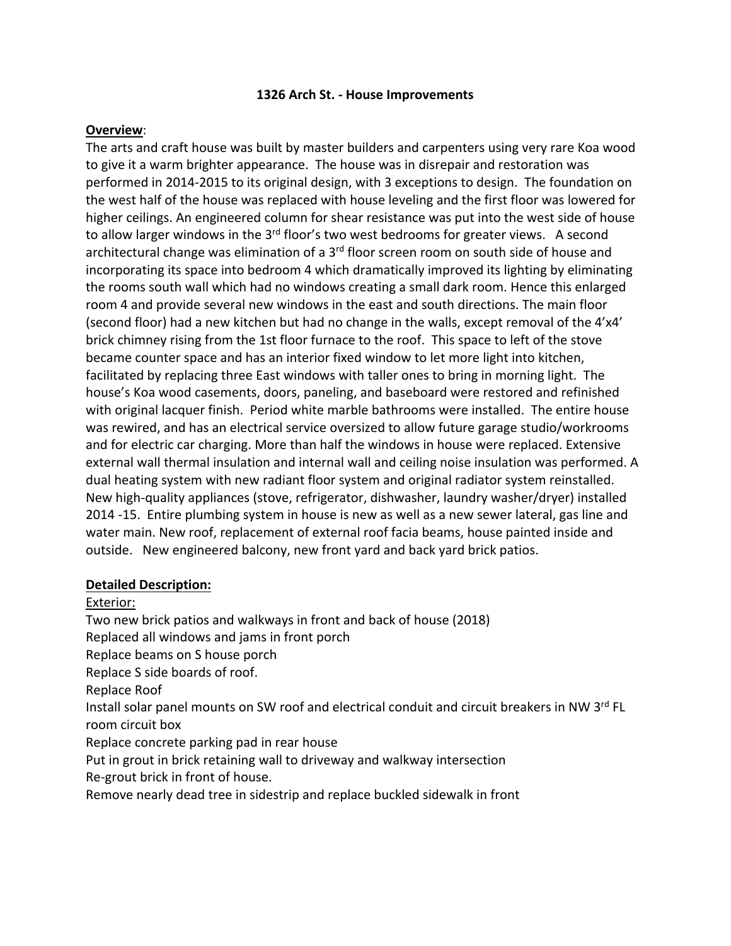#### **1326 Arch St. - House Improvements**

#### **Overview**:

The arts and craft house was built by master builders and carpenters using very rare Koa wood to give it a warm brighter appearance. The house was in disrepair and restoration was performed in 2014-2015 to its original design, with 3 exceptions to design. The foundation on the west half of the house was replaced with house leveling and the first floor was lowered for higher ceilings. An engineered column for shear resistance was put into the west side of house to allow larger windows in the  $3<sup>rd</sup>$  floor's two west bedrooms for greater views. A second architectural change was elimination of a 3<sup>rd</sup> floor screen room on south side of house and incorporating its space into bedroom 4 which dramatically improved its lighting by eliminating the rooms south wall which had no windows creating a small dark room. Hence this enlarged room 4 and provide several new windows in the east and south directions. The main floor (second floor) had a new kitchen but had no change in the walls, except removal of the 4'x4' brick chimney rising from the 1st floor furnace to the roof. This space to left of the stove became counter space and has an interior fixed window to let more light into kitchen, facilitated by replacing three East windows with taller ones to bring in morning light. The house's Koa wood casements, doors, paneling, and baseboard were restored and refinished with original lacquer finish. Period white marble bathrooms were installed. The entire house was rewired, and has an electrical service oversized to allow future garage studio/workrooms and for electric car charging. More than half the windows in house were replaced. Extensive external wall thermal insulation and internal wall and ceiling noise insulation was performed. A dual heating system with new radiant floor system and original radiator system reinstalled. New high-quality appliances (stove, refrigerator, dishwasher, laundry washer/dryer) installed 2014 -15. Entire plumbing system in house is new as well as a new sewer lateral, gas line and water main. New roof, replacement of external roof facia beams, house painted inside and outside. New engineered balcony, new front yard and back yard brick patios.

#### **Detailed Description:**

#### Exterior:

Two new brick patios and walkways in front and back of house (2018) Replaced all windows and jams in front porch Replace beams on S house porch Replace S side boards of roof. Replace Roof Install solar panel mounts on SW roof and electrical conduit and circuit breakers in NW 3rd FL room circuit box Replace concrete parking pad in rear house Put in grout in brick retaining wall to driveway and walkway intersection Re-grout brick in front of house. Remove nearly dead tree in sidestrip and replace buckled sidewalk in front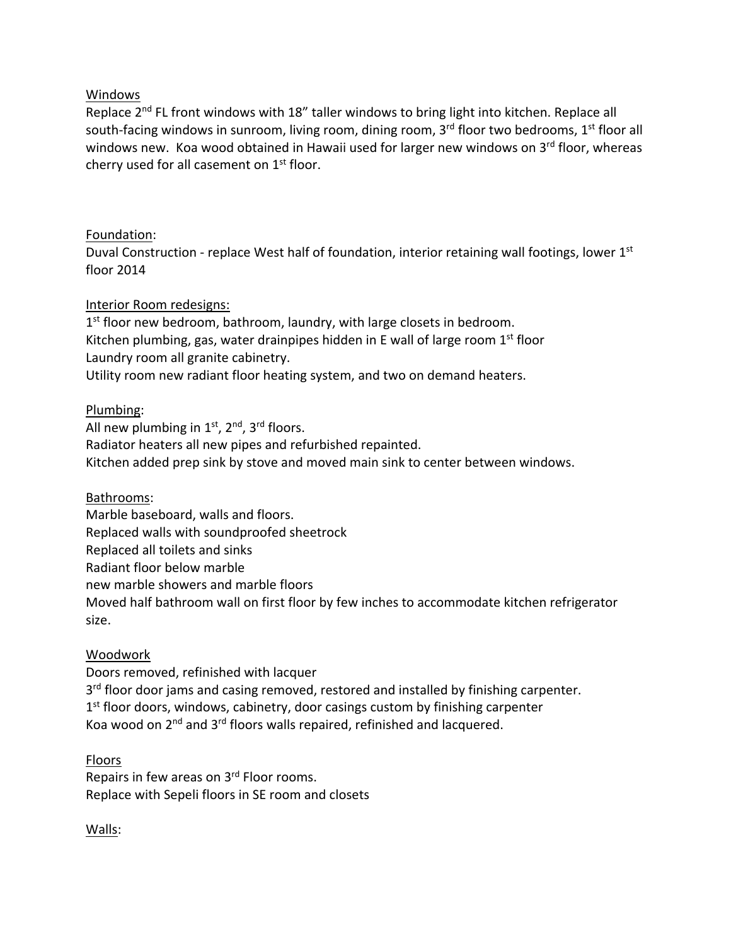## Windows

Replace 2<sup>nd</sup> FL front windows with 18" taller windows to bring light into kitchen. Replace all south-facing windows in sunroom, living room, dining room,  $3<sup>rd</sup>$  floor two bedrooms,  $1<sup>st</sup>$  floor all windows new. Koa wood obtained in Hawaii used for larger new windows on 3rd floor, whereas cherry used for all casement on 1<sup>st</sup> floor.

# Foundation:

Duval Construction - replace West half of foundation, interior retaining wall footings, lower  $1<sup>st</sup>$ floor 2014

## Interior Room redesigns:

1<sup>st</sup> floor new bedroom, bathroom, laundry, with large closets in bedroom. Kitchen plumbing, gas, water drainpipes hidden in E wall of large room  $1<sup>st</sup>$  floor Laundry room all granite cabinetry. Utility room new radiant floor heating system, and two on demand heaters.

## Plumbing:

All new plumbing in  $1<sup>st</sup>$ ,  $2<sup>nd</sup>$ ,  $3<sup>rd</sup>$  floors. Radiator heaters all new pipes and refurbished repainted. Kitchen added prep sink by stove and moved main sink to center between windows.

Bathrooms:

Marble baseboard, walls and floors. Replaced walls with soundproofed sheetrock Replaced all toilets and sinks Radiant floor below marble new marble showers and marble floors Moved half bathroom wall on first floor by few inches to accommodate kitchen refrigerator size.

### Woodwork

Doors removed, refinished with lacquer 3<sup>rd</sup> floor door jams and casing removed, restored and installed by finishing carpenter.  $1<sup>st</sup>$  floor doors, windows, cabinetry, door casings custom by finishing carpenter Koa wood on 2nd and 3rd floors walls repaired, refinished and lacquered.

### Floors

Repairs in few areas on 3<sup>rd</sup> Floor rooms. Replace with Sepeli floors in SE room and closets

Walls: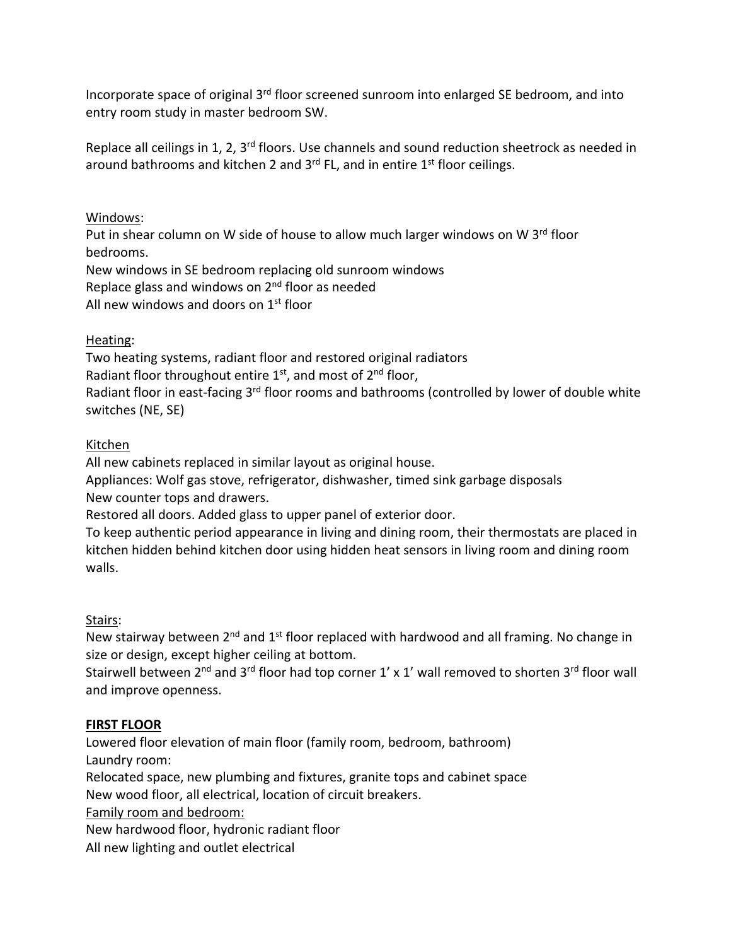Incorporate space of original  $3<sup>rd</sup>$  floor screened sunroom into enlarged SE bedroom, and into entry room study in master bedroom SW.

Replace all ceilings in 1, 2, 3<sup>rd</sup> floors. Use channels and sound reduction sheetrock as needed in around bathrooms and kitchen 2 and  $3^{rd}$  FL, and in entire  $1^{st}$  floor ceilings.

Windows:

Put in shear column on W side of house to allow much larger windows on W 3<sup>rd</sup> floor bedrooms. New windows in SE bedroom replacing old sunroom windows Replace glass and windows on 2<sup>nd</sup> floor as needed All new windows and doors on 1st floor

# Heating:

Two heating systems, radiant floor and restored original radiators Radiant floor throughout entire  $1<sup>st</sup>$ , and most of  $2<sup>nd</sup>$  floor, Radiant floor in east-facing 3<sup>rd</sup> floor rooms and bathrooms (controlled by lower of double white switches (NE, SE)

## Kitchen

All new cabinets replaced in similar layout as original house.

Appliances: Wolf gas stove, refrigerator, dishwasher, timed sink garbage disposals New counter tops and drawers.

Restored all doors. Added glass to upper panel of exterior door.

To keep authentic period appearance in living and dining room, their thermostats are placed in kitchen hidden behind kitchen door using hidden heat sensors in living room and dining room walls.

# Stairs:

New stairway between  $2^{nd}$  and  $1^{st}$  floor replaced with hardwood and all framing. No change in size or design, except higher ceiling at bottom.

Stairwell between  $2^{nd}$  and  $3^{rd}$  floor had top corner 1' x 1' wall removed to shorten  $3^{rd}$  floor wall and improve openness.

# **FIRST FLOOR**

Lowered floor elevation of main floor (family room, bedroom, bathroom) Laundry room:

Relocated space, new plumbing and fixtures, granite tops and cabinet space

New wood floor, all electrical, location of circuit breakers.

Family room and bedroom:

New hardwood floor, hydronic radiant floor

All new lighting and outlet electrical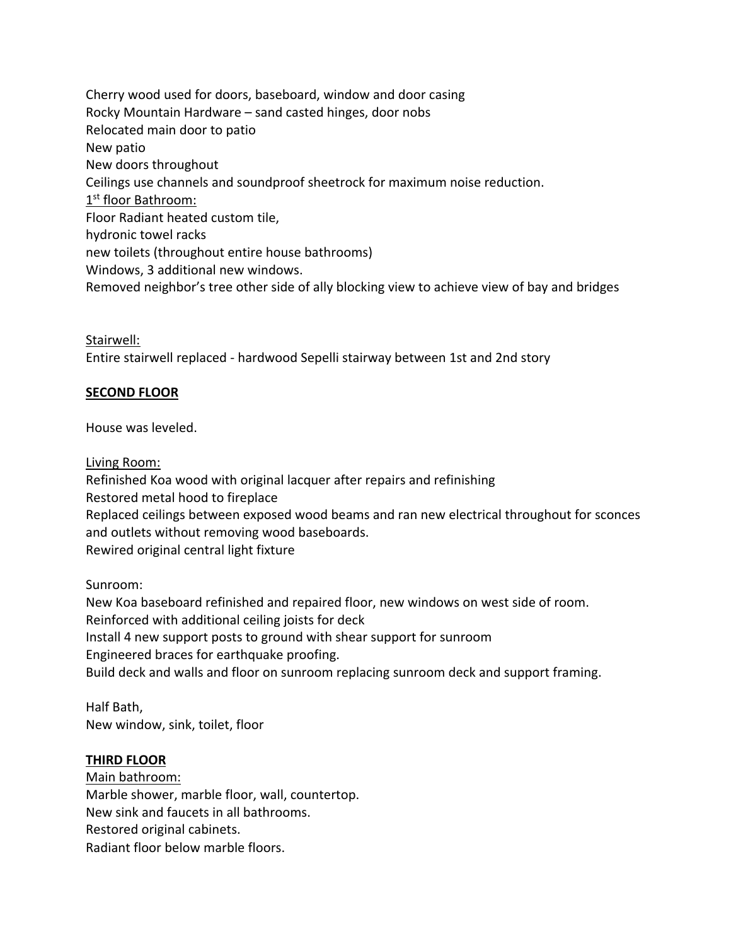Cherry wood used for doors, baseboard, window and door casing Rocky Mountain Hardware – sand casted hinges, door nobs Relocated main door to patio New patio New doors throughout Ceilings use channels and soundproof sheetrock for maximum noise reduction. 1<sup>st</sup> floor Bathroom: Floor Radiant heated custom tile, hydronic towel racks new toilets (throughout entire house bathrooms) Windows, 3 additional new windows. Removed neighbor's tree other side of ally blocking view to achieve view of bay and bridges

Stairwell: Entire stairwell replaced - hardwood Sepelli stairway between 1st and 2nd story

## **SECOND FLOOR**

House was leveled.

Living Room:

Refinished Koa wood with original lacquer after repairs and refinishing Restored metal hood to fireplace Replaced ceilings between exposed wood beams and ran new electrical throughout for sconces and outlets without removing wood baseboards. Rewired original central light fixture

Sunroom:

New Koa baseboard refinished and repaired floor, new windows on west side of room. Reinforced with additional ceiling joists for deck Install 4 new support posts to ground with shear support for sunroom Engineered braces for earthquake proofing. Build deck and walls and floor on sunroom replacing sunroom deck and support framing.

Half Bath, New window, sink, toilet, floor

# **THIRD FLOOR**

Main bathroom: Marble shower, marble floor, wall, countertop. New sink and faucets in all bathrooms. Restored original cabinets. Radiant floor below marble floors.